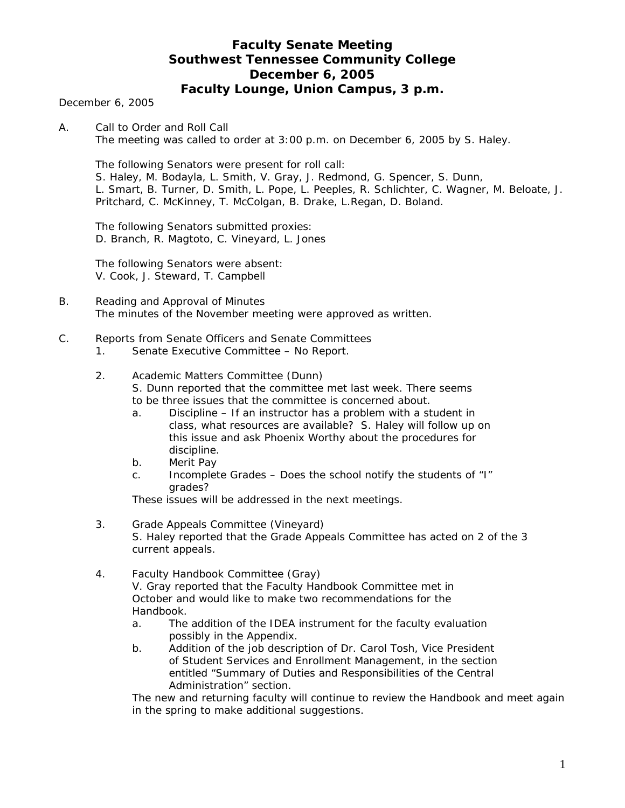# **Faculty Senate Meeting Southwest Tennessee Community College December 6, 2005 Faculty Lounge, Union Campus, 3 p.m.**

December 6, 2005

A. Call to Order and Roll Call The meeting was called to order at 3:00 p.m. on December 6, 2005 by S. Haley.

 The following Senators were present for roll call: S. Haley, M. Bodayla, L. Smith, V. Gray, J. Redmond, G. Spencer, S. Dunn, L. Smart, B. Turner, D. Smith, L. Pope, L. Peeples, R. Schlichter, C. Wagner, M. Beloate, J. Pritchard, C. McKinney, T. McColgan, B. Drake, L.Regan, D. Boland.

 The following Senators submitted proxies: D. Branch, R. Magtoto, C. Vineyard, L. Jones

 The following Senators were absent: V. Cook, J. Steward, T. Campbell

- B. Reading and Approval of Minutes The minutes of the November meeting were approved as written.
- C. Reports from Senate Officers and Senate Committees
	- 1. Senate Executive Committee No Report.

## 2. Academic Matters Committee (Dunn) S. Dunn reported that the committee met last week. There seems to be three issues that the committee is concerned about.

- a. Discipline If an instructor has a problem with a student in class, what resources are available? S. Haley will follow up on this issue and ask Phoenix Worthy about the procedures for discipline.
- b. Merit Pay
- c. Incomplete Grades Does the school notify the students of "I" grades?

These issues will be addressed in the next meetings.

- 3. Grade Appeals Committee (Vineyard) S. Haley reported that the Grade Appeals Committee has acted on 2 of the 3 current appeals.
- 4. Faculty Handbook Committee (Gray) V. Gray reported that the Faculty Handbook Committee met in October and would like to make two recommendations for the Handbook.
	- a. The addition of the IDEA instrument for the faculty evaluation possibly in the Appendix.
	- b. Addition of the job description of Dr. Carol Tosh, Vice President of Student Services and Enrollment Management, in the section entitled "Summary of Duties and Responsibilities of the Central Administration" section.

The new and returning faculty will continue to review the Handbook and meet again in the spring to make additional suggestions.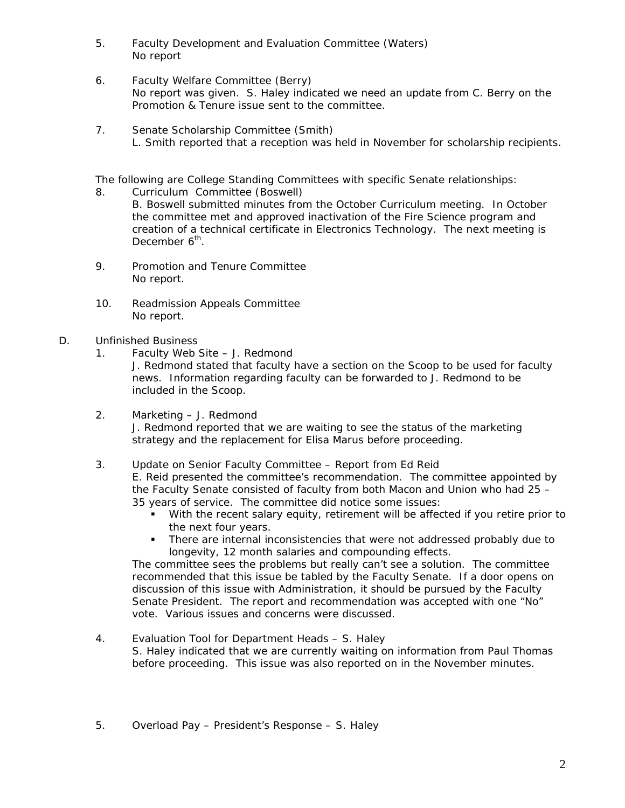- 5. Faculty Development and Evaluation Committee (Waters) No report
- 6. Faculty Welfare Committee (Berry) No report was given. S. Haley indicated we need an update from C. Berry on the Promotion & Tenure issue sent to the committee.
- 7. Senate Scholarship Committee (Smith) L. Smith reported that a reception was held in November for scholarship recipients.

The following are College Standing Committees with specific Senate relationships:

- 8. Curriculum Committee (Boswell) B. Boswell submitted minutes from the October Curriculum meeting. In October the committee met and approved inactivation of the Fire Science program and creation of a technical certificate in Electronics Technology. The next meeting is December 6<sup>th</sup>.
- 9. Promotion and Tenure Committee No report.
- 10. Readmission Appeals Committee No report.
- D. Unfinished Business
	- 1. Faculty Web Site J. Redmond

J. Redmond stated that faculty have a section on the *Scoop* to be used for faculty news. Information regarding faculty can be forwarded to J. Redmond to be included in the *Scoop.*

 2. Marketing – J. Redmond J. Redmond reported that we are waiting to see the status of the marketing strategy and the replacement for Elisa Marus before proceeding.

 3. Update on Senior Faculty Committee – Report from Ed Reid E. Reid presented the committee's recommendation. The committee appointed by the Faculty Senate consisted of faculty from both Macon and Union who had 25 – 35 years of service. The committee did notice some issues:

- With the recent salary equity, retirement will be affected if you retire prior to the next four years.
- There are internal inconsistencies that were not addressed probably due to longevity, 12 month salaries and compounding effects.

The committee sees the problems but really can't see a solution. The committee recommended that this issue be tabled by the Faculty Senate. If a door opens on discussion of this issue with Administration, it should be pursued by the Faculty Senate President. The report and recommendation was accepted with one "No" vote. Various issues and concerns were discussed.

 4. Evaluation Tool for Department Heads – S. Haley S. Haley indicated that we are currently waiting on information from Paul Thomas before proceeding. This issue was also reported on in the November minutes.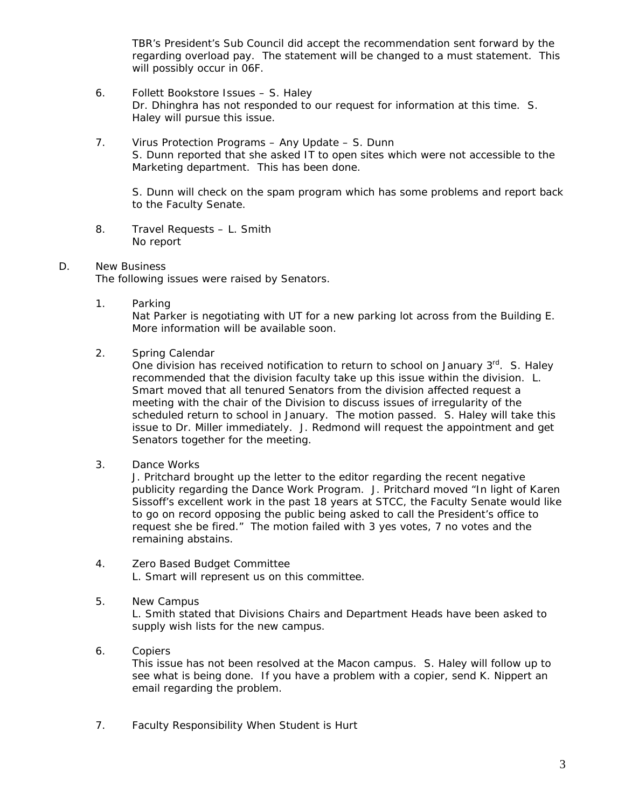TBR's President's Sub Council did accept the recommendation sent forward by the regarding overload pay. The statement will be changed to a *must* statement. This will possibly occur in 06F.

- 6. Follett Bookstore Issues S. Haley Dr. Dhinghra has not responded to our request for information at this time. S. Haley will pursue this issue.
- 7. Virus Protection Programs Any Update S. Dunn S. Dunn reported that she asked IT to open sites which were not accessible to the Marketing department. This has been done.

S. Dunn will check on the spam program which has some problems and report back to the Faculty Senate.

 8. Travel Requests – L. Smith No report

## D. New Business

The following issues were raised by Senators.

1. Parking

Nat Parker is negotiating with UT for a new parking lot across from the Building E. More information will be available soon.

2. Spring Calendar

One division has received notification to return to school on January 3<sup>rd</sup>. S. Haley recommended that the division faculty take up this issue within the division. L. Smart moved that all tenured Senators from the division affected request a meeting with the chair of the Division to discuss issues of irregularity of the scheduled return to school in January. The motion passed. S. Haley will take this issue to Dr. Miller immediately. J. Redmond will request the appointment and get Senators together for the meeting.

3. Dance Works

J. Pritchard brought up the letter to the editor regarding the recent negative publicity regarding the Dance Work Program. J. Pritchard moved "In light of Karen Sissoff's excellent work in the past 18 years at STCC, the Faculty Senate would like to go on record opposing the public being asked to call the President's office to request she be fired." The motion failed with 3 yes votes, 7 no votes and the remaining abstains.

- 4. Zero Based Budget Committee L. Smart will represent us on this committee.
- 5. New Campus L. Smith stated that Divisions Chairs and Department Heads have been asked to supply wish lists for the new campus.
- 6. Copiers

This issue has not been resolved at the Macon campus. S. Haley will follow up to see what is being done. If you have a problem with a copier, send K. Nippert an email regarding the problem.

7. Faculty Responsibility When Student is Hurt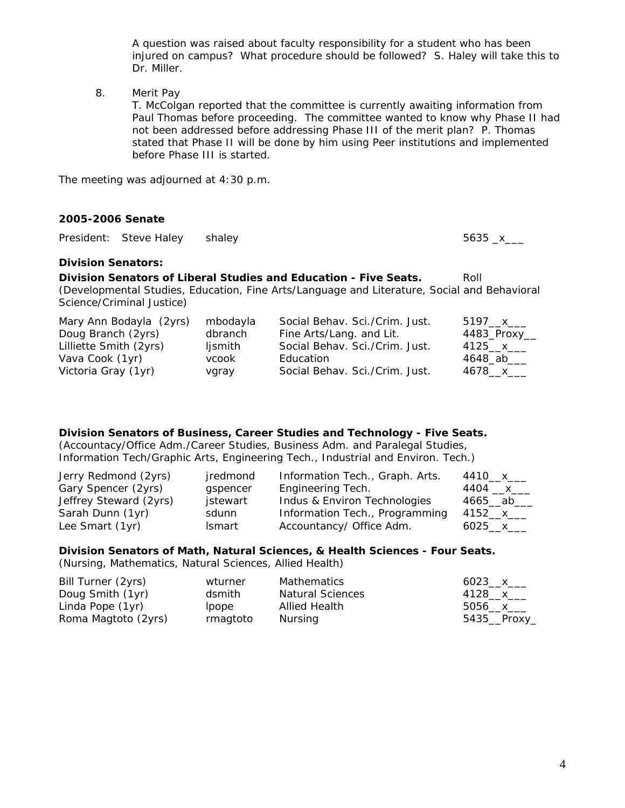A question was raised about faculty responsibility for a student who has been injured on campus? What procedure should be followed? S. Haley will take this to Dr. Miller.

8. Merit Pay

T. McColgan reported that the committee is currently awaiting information from Paul Thomas before proceeding. The committee wanted to know why Phase II had not been addressed before addressing Phase III of the merit plan? P. Thomas stated that Phase II will be done by him using Peer institutions and implemented before Phase III is started.

The meeting was adjourned at 4:30 p.m.

#### **2005-2006 Senate**

President: Steve Haley shaley 5635 \_x\_\_\_

#### **Division Senators:**

**Division Senators of Liberal Studies and Education - Five Seats.** Roll (Developmental Studies, Education, Fine Arts/Language and Literature, Social and Behavioral Science/Criminal Justice)

| Mary Ann Bodayla (2yrs) | mbodayla | Social Behav. Sci./Crim. Just. | 5197 <sub>—</sub> х___     |
|-------------------------|----------|--------------------------------|----------------------------|
| Doug Branch (2yrs)      | dbranch  | Fine Arts/Lang. and Lit.       | $4483$ <sup>-Proxy</sup> - |
| Lilliette Smith (2yrs)  | ljsmith  | Social Behav. Sci./Crim. Just. | 4125__x___                 |
| Vava Cook (1yr)         | vcook    | Education                      | 4648_ab___                 |
| Victoria Gray (1yr)     | vgray    | Social Behav. Sci./Crim. Just. | 4678 x                     |

## **Division Senators of Business, Career Studies and Technology - Five Seats.**

(Accountacy/Office Adm./Career Studies, Business Adm. and Paralegal Studies, Information Tech/Graphic Arts, Engineering Tech., Industrial and Environ. Tech.)

| Jerry Redmond (2yrs)   | jredmond | Information Tech., Graph. Arts. | 4410__x___  |
|------------------------|----------|---------------------------------|-------------|
| Gary Spencer (2yrs)    | gspencer | Engineering Tech.               | 4404 __x___ |
| Jeffrey Steward (2yrs) | jstewart | Indus & Environ Technologies    | 4665__ab_   |
| Sarah Dunn (1yr)       | sdunn    | Information Tech., Programming  | 4152__x___  |
| Lee Smart (1yr)        | Ismart   | Accountancy/ Office Adm.        | 6025 x      |

## **Division Senators of Math, Natural Sciences, & Health Sciences - Four Seats.**

(Nursing, Mathematics, Natural Sciences, Allied Health)

| Bill Turner (2yrs)  | wturner  | Mathematics             | $6023 \times$ |
|---------------------|----------|-------------------------|---------------|
| Doug Smith (1yr)    | dsmith   | <b>Natural Sciences</b> | 4128__x___    |
| Linda Pope (1yr)    | lpope    | Allied Health           | 5056 $x$      |
| Roma Magtoto (2yrs) | rmagtoto | Nursing                 | $5435$ Proxy  |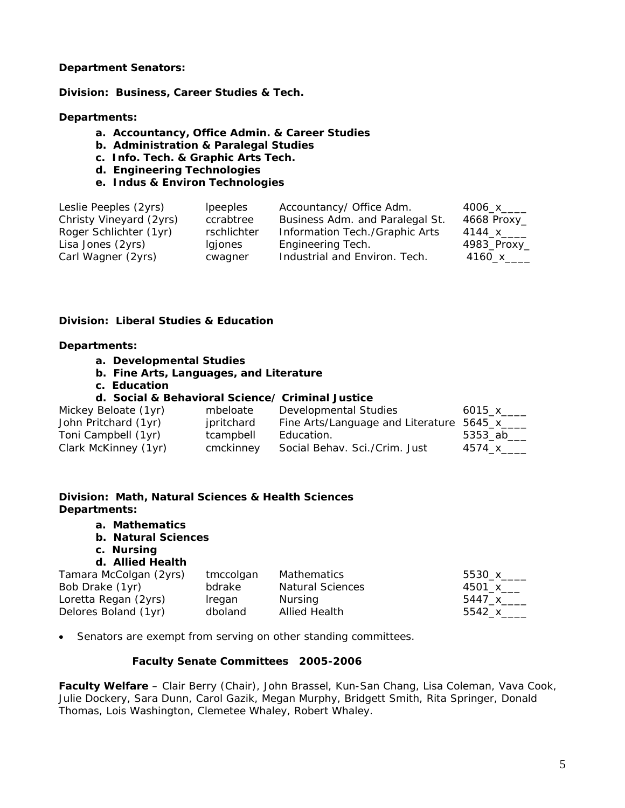#### **Department Senators:**

**Division: Business, Career Studies & Tech.** 

## **Departments:**

- **a. Accountancy, Office Admin. & Career Studies**
- **b. Administration & Paralegal Studies**
- **c. Info. Tech. & Graphic Arts Tech.**
- **d. Engineering Technologies**
- **e. Indus & Environ Technologies**

| Leslie Peeples (2yrs)<br>Christy Vineyard (2yrs) | <i>lpeeples</i><br>ccrabtree | Accountancy/ Office Adm.<br>Business Adm. and Paralegal St. | 4006_x____                 |
|--------------------------------------------------|------------------------------|-------------------------------------------------------------|----------------------------|
| Roger Schlichter (1yr)                           | rschlichter                  | Information Tech./Graphic Arts                              | 4668 Proxy_<br>4144_x_____ |
| Lisa Jones (2yrs)                                | Igjones                      | Engineering Tech.                                           | 4983_Proxy_                |
| Carl Wagner (2yrs)                               | cwagner                      | Industrial and Environ. Tech.                               | 4160_х_____                |

## **Division: Liberal Studies & Education**

#### **Departments:**

- **a. Developmental Studies**
- **b. Fine Arts, Languages, and Literature**
- **c. Education**

#### **d. Social & Behavioral Science/ Criminal Justice**

| Mickey Beloate (1yr) | mbeloate   | Developmental Studies                       | 6015_x_____ |
|----------------------|------------|---------------------------------------------|-------------|
| John Pritchard (1yr) | jpritchard | Fine Arts/Language and Literature 5645_x___ |             |
| Toni Campbell (1yr)  | tcampbell  | Education.                                  | 5353 ab     |
| Clark McKinney (1yr) | cmckinney  | Social Behav. Sci./Crim. Just               | 4574 x      |

# **Division: Math, Natural Sciences & Health Sciences Departments:**

- **a. Mathematics**
- **b. Natural Sciences**
- **c. Nursing**

# **d. Allied Health**

| Tamara McColgan (2yrs) | tmccolgan | Mathematics      | 5530_х_____ |
|------------------------|-----------|------------------|-------------|
| Bob Drake (1yr)        | bdrake    | Natural Sciences | 4501_x___   |
| Loretta Regan (2yrs)   | Iregan    | Nursing          | 5447_x_____ |
| Delores Boland (1yr)   | dboland   | Allied Health    | $5542\_x$   |

• Senators are exempt from serving on other standing committees.

#### **Faculty Senate Committees 2005-2006**

**Faculty Welfare** – Clair Berry (Chair), John Brassel, Kun-San Chang, Lisa Coleman, Vava Cook, Julie Dockery, Sara Dunn, Carol Gazik, Megan Murphy, Bridgett Smith, Rita Springer, Donald Thomas, Lois Washington, Clemetee Whaley, Robert Whaley.